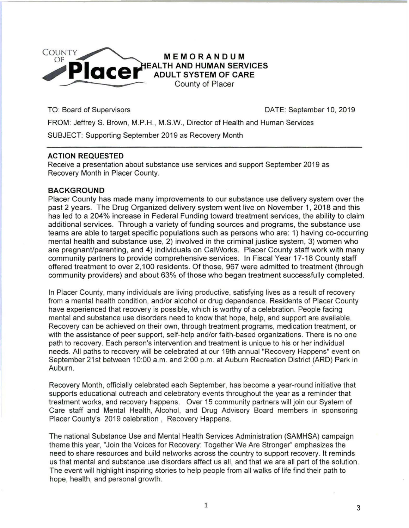

TO: Board of Supervisors **DATE:** September 10, 2019

3

FROM: JeffreyS. Brown, M.P.H., M.S.W., Director of Health and Human Services

SUBJECT: Supporting September 2019 as Recovery Month

## **ACTION REQUESTED**

Receive a presentation about substance use services and support September 2019 as Recovery Month in Placer County.

## **BACKGROUND**

Placer County has made many improvements to our substance use delivery system over the past 2 years. The Drug Organized delivery system went live on November 1, 2018 and this has led to a 204% increase in Federal Funding toward treatment services, the ability to claim additional services. Through a variety of funding sources and programs, the substance use teams are able to target specific populations such as persons who are: 1) having co-occurring mental health and substance use, 2) involved in the criminal justice system, 3) women who are pregnant/parenting, and 4) individuals on CaiWorks. Placer County staff work with many community partners to provide comprehensive services. In Fiscal Year 17-18 County staff offered treatment to over 2,100 residents. Of those, 967 were admitted to treatment (through community providers) and about 63% of those who began treatment successfully completed.

In Placer County, many individuals are living productive, satisfying lives as a result of recovery from a mental health condition, and/or alcohol or drug dependence. Residents of Placer County have experienced that recovery is possible, which is worthy of a celebration. People facing mental and substance use disorders need to know that hope, help, and support are available. Recovery can be achieved on their own, through treatment programs, medication treatment, or with the assistance of peer support, self-help and/or faith-based organizations. There is no one path to recovery. Each person's intervention and treatment is unique to his or her individual needs. All paths to recovery will be celebrated at our 19th annual "Recovery Happens" event on September 21st between 10:00 a.m. and 2:00 p.m. at Auburn Recreation District (ARD) Park in Auburn. ..

Recovery Month, officially celebrated each September, has become a year-round initiative that supports educational outreach and celebratory events throughout the year as a reminder that treatment works, and recovery happens. Over 15 community partners will join our System of Care staff and Mental Health, Alcohol, and Drug Advisory Board members in sponsoring Placer County's 2019 celebration , Recovery Happens.

The national Substance Use and Mental Health Services Administration (SAMHSA) campaign theme this year, "Join the Voices for Recovery: Together We Are Stronger" emphasizes the need to share resources and build networks across the country to support recovery. It reminds us that mental and substance use disorders affect us all, and that we are all part of the solution. The event will highlight inspiring stories to help people from all walks of life find their path to hope, health, and personal growth.